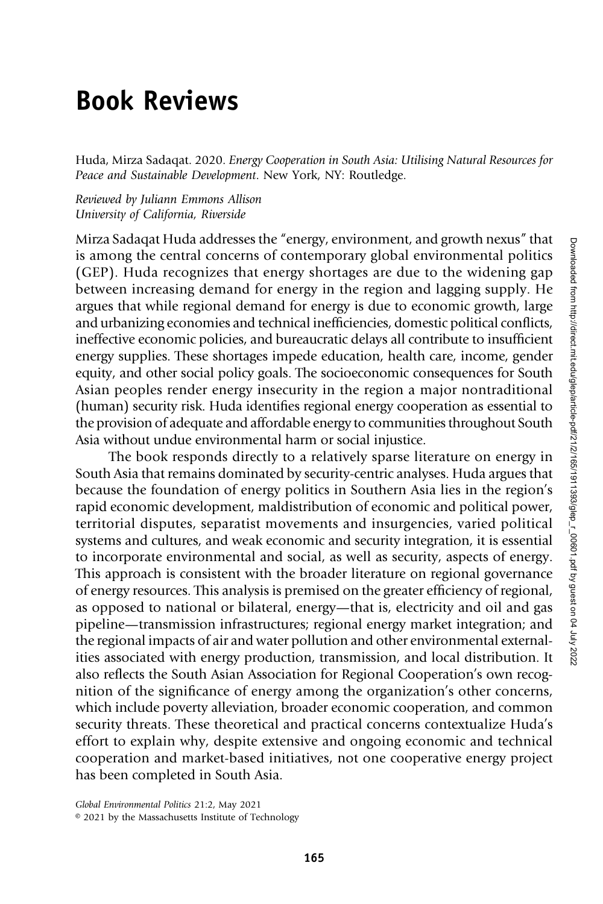## Book Reviews

Huda, Mirza Sadaqat. 2020. Energy Cooperation in South Asia: Utilising Natural Resources for Peace and Sustainable Development. New York, NY: Routledge.

Reviewed by Juliann Emmons Allison University of California, Riverside

Mirza Sadaqat Huda addresses the "energy, environment, and growth nexus" that is among the central concerns of contemporary global environmental politics (GEP). Huda recognizes that energy shortages are due to the widening gap between increasing demand for energy in the region and lagging supply. He argues that while regional demand for energy is due to economic growth, large and urbanizing economies and technical inefficiencies, domestic political conflicts, ineffective economic policies, and bureaucratic delays all contribute to insufficient energy supplies. These shortages impede education, health care, income, gender equity, and other social policy goals. The socioeconomic consequences for South Asian peoples render energy insecurity in the region a major nontraditional (human) security risk. Huda identifies regional energy cooperation as essential to the provision of adequate and affordable energy to communities throughout South Asia without undue environmental harm or social injustice.

The book responds directly to a relatively sparse literature on energy in South Asia that remains dominated by security-centric analyses. Huda argues that because the foundation of energy politics in Southern Asia lies in the region's rapid economic development, maldistribution of economic and political power, territorial disputes, separatist movements and insurgencies, varied political systems and cultures, and weak economic and security integration, it is essential to incorporate environmental and social, as well as security, aspects of energy. This approach is consistent with the broader literature on regional governance of energy resources. This analysis is premised on the greater efficiency of regional, as opposed to national or bilateral, energy—that is, electricity and oil and gas pipeline—transmission infrastructures; regional energy market integration; and the regional impacts of air and water pollution and other environmental externalities associated with energy production, transmission, and local distribution. It also reflects the South Asian Association for Regional Cooperation's own recognition of the significance of energy among the organization's other concerns, which include poverty alleviation, broader economic cooperation, and common security threats. These theoretical and practical concerns contextualize Huda's effort to explain why, despite extensive and ongoing economic and technical cooperation and market-based initiatives, not one cooperative energy project has been completed in South Asia.

Global Environmental Politics 21:2, May 2021

<sup>© 2021</sup> by the Massachusetts Institute of Technology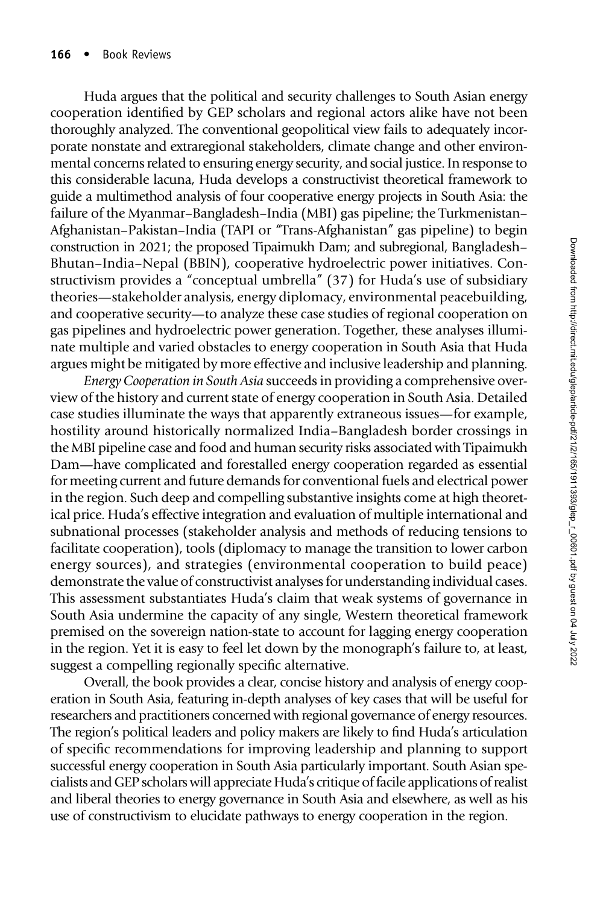Huda argues that the political and security challenges to South Asian energy cooperation identified by GEP scholars and regional actors alike have not been thoroughly analyzed. The conventional geopolitical view fails to adequately incorporate nonstate and extraregional stakeholders, climate change and other environmental concerns related to ensuring energy security, and social justice. In response to this considerable lacuna, Huda develops a constructivist theoretical framework to guide a multimethod analysis of four cooperative energy projects in South Asia: the failure of the Myanmar–Bangladesh–India (MBI) gas pipeline; the Turkmenistan– Afghanistan–Pakistan–India (TAPI or "Trans-Afghanistan" gas pipeline) to begin construction in 2021; the proposed Tipaimukh Dam; and subregional, Bangladesh– Bhutan–India–Nepal (BBIN), cooperative hydroelectric power initiatives. Constructivism provides a "conceptual umbrella" (37) for Huda's use of subsidiary theories—stakeholder analysis, energy diplomacy, environmental peacebuilding, and cooperative security—to analyze these case studies of regional cooperation on gas pipelines and hydroelectric power generation. Together, these analyses illuminate multiple and varied obstacles to energy cooperation in South Asia that Huda argues might be mitigated by more effective and inclusive leadership and planning.

Energy Cooperation in South Asia succeeds in providing a comprehensive overview of the history and current state of energy cooperation in South Asia. Detailed case studies illuminate the ways that apparently extraneous issues—for example, hostility around historically normalized India–Bangladesh border crossings in the MBI pipeline case and food and human security risks associated with Tipaimukh Dam—have complicated and forestalled energy cooperation regarded as essential for meeting current and future demands for conventional fuels and electrical power in the region. Such deep and compelling substantive insights come at high theoretical price. Huda's effective integration and evaluation of multiple international and subnational processes (stakeholder analysis and methods of reducing tensions to facilitate cooperation), tools (diplomacy to manage the transition to lower carbon energy sources), and strategies (environmental cooperation to build peace) demonstrate the value of constructivist analyses for understanding individual cases. This assessment substantiates Huda's claim that weak systems of governance in South Asia undermine the capacity of any single, Western theoretical framework premised on the sovereign nation-state to account for lagging energy cooperation in the region. Yet it is easy to feel let down by the monograph's failure to, at least, suggest a compelling regionally specific alternative.

Overall, the book provides a clear, concise history and analysis of energy cooperation in South Asia, featuring in-depth analyses of key cases that will be useful for researchers and practitioners concerned with regional governance of energy resources. The region's political leaders and policy makers are likely to find Huda's articulation of specific recommendations for improving leadership and planning to support successful energy cooperation in South Asia particularly important. South Asian specialists and GEP scholars will appreciate Huda's critique of facile applications of realist and liberal theories to energy governance in South Asia and elsewhere, as well as his use of constructivism to elucidate pathways to energy cooperation in the region.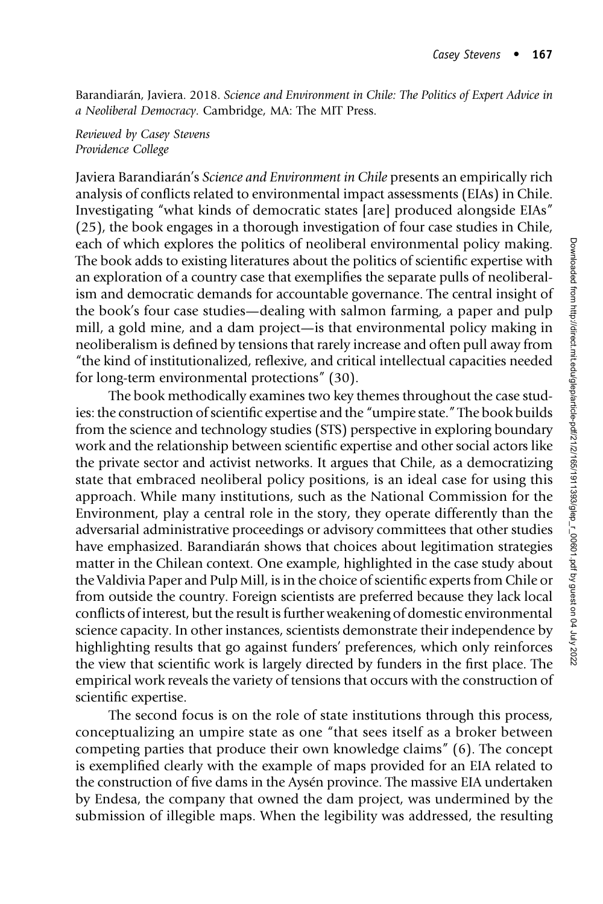Barandiarán, Javiera. 2018. Science and Environment in Chile: The Politics of Expert Advice in a Neoliberal Democracy. Cambridge, MA: The MIT Press.

Reviewed by Casey Stevens Providence College

Javiera Barandiarán's Science and Environment in Chile presents an empirically rich analysis of conflicts related to environmental impact assessments (EIAs) in Chile. Investigating "what kinds of democratic states [are] produced alongside EIAs" (25), the book engages in a thorough investigation of four case studies in Chile, each of which explores the politics of neoliberal environmental policy making. The book adds to existing literatures about the politics of scientific expertise with an exploration of a country case that exemplifies the separate pulls of neoliberalism and democratic demands for accountable governance. The central insight of the book's four case studies—dealing with salmon farming, a paper and pulp mill, a gold mine, and a dam project—is that environmental policy making in neoliberalism is defined by tensions that rarely increase and often pull away from "the kind of institutionalized, reflexive, and critical intellectual capacities needed for long-term environmental protections" (30).

The book methodically examines two key themes throughout the case studies: the construction of scientific expertise and the "umpire state." The book builds from the science and technology studies (STS) perspective in exploring boundary work and the relationship between scientific expertise and other social actors like the private sector and activist networks. It argues that Chile, as a democratizing state that embraced neoliberal policy positions, is an ideal case for using this approach. While many institutions, such as the National Commission for the Environment, play a central role in the story, they operate differently than the adversarial administrative proceedings or advisory committees that other studies have emphasized. Barandiarán shows that choices about legitimation strategies matter in the Chilean context. One example, highlighted in the case study about the Valdivia Paper and Pulp Mill, is in the choice of scientific experts from Chile or from outside the country. Foreign scientists are preferred because they lack local conflicts of interest, but the result is further weakening of domestic environmental science capacity. In other instances, scientists demonstrate their independence by highlighting results that go against funders' preferences, which only reinforces the view that scientific work is largely directed by funders in the first place. The empirical work reveals the variety of tensions that occurs with the construction of scientific expertise.

The second focus is on the role of state institutions through this process, conceptualizing an umpire state as one "that sees itself as a broker between competing parties that produce their own knowledge claims" (6). The concept is exemplified clearly with the example of maps provided for an EIA related to the construction of five dams in the Aysén province. The massive EIA undertaken by Endesa, the company that owned the dam project, was undermined by the submission of illegible maps. When the legibility was addressed, the resulting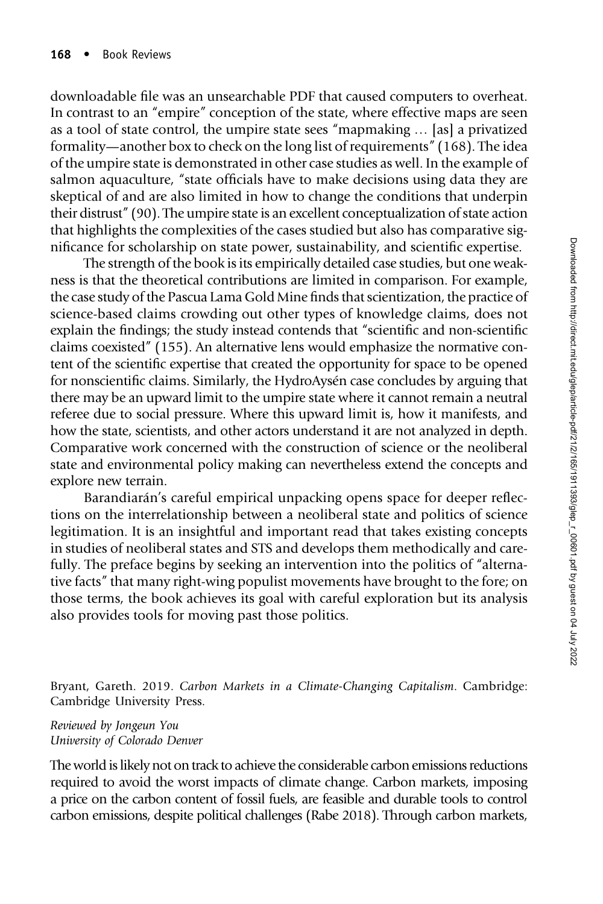downloadable file was an unsearchable PDF that caused computers to overheat. In contrast to an "empire" conception of the state, where effective maps are seen as a tool of state control, the umpire state sees "mapmaking … [as] a privatized formality—another box to check on the long list of requirements" (168). The idea of the umpire state is demonstrated in other case studies as well. In the example of salmon aquaculture, "state officials have to make decisions using data they are skeptical of and are also limited in how to change the conditions that underpin their distrust" (90). The umpire state is an excellent conceptualization of state action that highlights the complexities of the cases studied but also has comparative significance for scholarship on state power, sustainability, and scientific expertise.

The strength of the book is its empirically detailed case studies, but one weakness is that the theoretical contributions are limited in comparison. For example, the case study of the Pascua Lama Gold Mine finds that scientization, the practice of science-based claims crowding out other types of knowledge claims, does not explain the findings; the study instead contends that "scientific and non-scientific claims coexisted" (155). An alternative lens would emphasize the normative content of the scientific expertise that created the opportunity for space to be opened for nonscientific claims. Similarly, the HydroAysén case concludes by arguing that there may be an upward limit to the umpire state where it cannot remain a neutral referee due to social pressure. Where this upward limit is, how it manifests, and how the state, scientists, and other actors understand it are not analyzed in depth. Comparative work concerned with the construction of science or the neoliberal state and environmental policy making can nevertheless extend the concepts and explore new terrain.

Barandiarán's careful empirical unpacking opens space for deeper reflections on the interrelationship between a neoliberal state and politics of science legitimation. It is an insightful and important read that takes existing concepts in studies of neoliberal states and STS and develops them methodically and carefully. The preface begins by seeking an intervention into the politics of "alternative facts" that many right-wing populist movements have brought to the fore; on those terms, the book achieves its goal with careful exploration but its analysis also provides tools for moving past those politics.

Bryant, Gareth. 2019. Carbon Markets in a Climate-Changing Capitalism. Cambridge: Cambridge University Press.

Reviewed by Jongeun You University of Colorado Denver

The world is likely not on track to achieve the considerable carbon emissions reductions required to avoid the worst impacts of climate change. Carbon markets, imposing a price on the carbon content of fossil fuels, are feasible and durable tools to control carbon emissions, despite political challenges (Rabe 2018). Through carbon markets,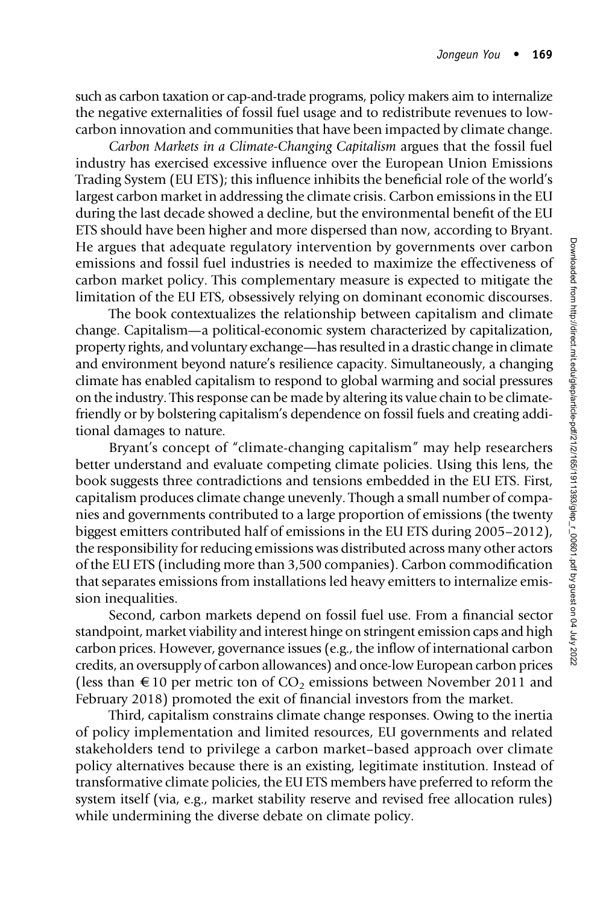such as carbon taxation or cap-and-trade programs, policy makers aim to internalize the negative externalities of fossil fuel usage and to redistribute revenues to lowcarbon innovation and communities that have been impacted by climate change.

Carbon Markets in a Climate-Changing Capitalism argues that the fossil fuel industry has exercised excessive influence over the European Union Emissions Trading System (EU ETS); this influence inhibits the beneficial role of the world's largest carbon market in addressing the climate crisis. Carbon emissions in the EU during the last decade showed a decline, but the environmental benefit of the EU ETS should have been higher and more dispersed than now, according to Bryant. He argues that adequate regulatory intervention by governments over carbon emissions and fossil fuel industries is needed to maximize the effectiveness of carbon market policy. This complementary measure is expected to mitigate the limitation of the EU ETS, obsessively relying on dominant economic discourses.

The book contextualizes the relationship between capitalism and climate change. Capitalism—a political-economic system characterized by capitalization, property rights, and voluntary exchange—has resulted in a drastic change in climate and environment beyond nature's resilience capacity. Simultaneously, a changing climate has enabled capitalism to respond to global warming and social pressures on the industry. This response can be made by altering its value chain to be climatefriendly or by bolstering capitalism's dependence on fossil fuels and creating additional damages to nature.

Bryant's concept of "climate-changing capitalism" may help researchers better understand and evaluate competing climate policies. Using this lens, the book suggests three contradictions and tensions embedded in the EU ETS. First, capitalism produces climate change unevenly. Though a small number of companies and governments contributed to a large proportion of emissions (the twenty biggest emitters contributed half of emissions in the EU ETS during 2005–2012), the responsibility for reducing emissions was distributed across many other actors of the EU ETS (including more than 3,500 companies). Carbon commodification that separates emissions from installations led heavy emitters to internalize emission inequalities.

Second, carbon markets depend on fossil fuel use. From a financial sector standpoint, market viability and interest hinge on stringent emission caps and high carbon prices. However, governance issues (e.g., the inflow of international carbon credits, an oversupply of carbon allowances) and once-low European carbon prices (less than  $\epsilon$  10 per metric ton of CO<sub>2</sub> emissions between November 2011 and February 2018) promoted the exit of financial investors from the market.

Third, capitalism constrains climate change responses. Owing to the inertia of policy implementation and limited resources, EU governments and related stakeholders tend to privilege a carbon market–based approach over climate policy alternatives because there is an existing, legitimate institution. Instead of transformative climate policies, the EU ETS members have preferred to reform the system itself (via, e.g., market stability reserve and revised free allocation rules) while undermining the diverse debate on climate policy.